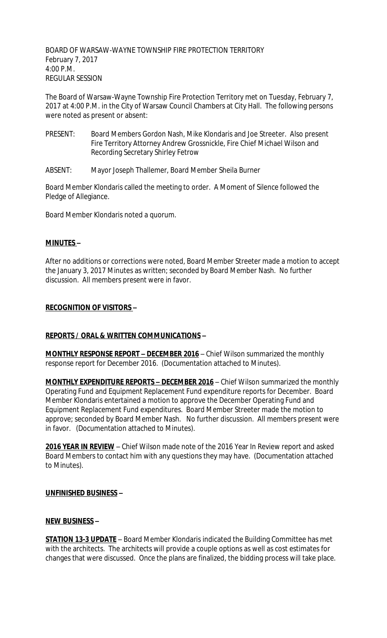BOARD OF WARSAW-WAYNE TOWNSHIP FIRE PROTECTION TERRITORY February 7, 2017 4:00 P.M. REGULAR SESSION

The Board of Warsaw-Wayne Township Fire Protection Territory met on Tuesday, February 7, 2017 at 4:00 P.M. in the City of Warsaw Council Chambers at City Hall. The following persons were noted as present or absent:

- PRESENT: Board Members Gordon Nash, Mike Klondaris and Joe Streeter. Also present Fire Territory Attorney Andrew Grossnickle, Fire Chief Michael Wilson and Recording Secretary Shirley Fetrow
- ABSENT: Mayor Joseph Thallemer, Board Member Sheila Burner

Board Member Klondaris called the meeting to order. A Moment of Silence followed the Pledge of Allegiance.

Board Member Klondaris noted a quorum.

# **MINUTES –**

After no additions or corrections were noted, Board Member Streeter made a motion to accept the January 3, 2017 Minutes as written; seconded by Board Member Nash. No further discussion. All members present were in favor.

### **RECOGNITION OF VISITORS –**

# **REPORTS / ORAL & WRITTEN COMMUNICATIONS –**

**MONTHLY RESPONSE REPORT – DECEMBER 2016** – Chief Wilson summarized the monthly response report for December 2016. (Documentation attached to Minutes).

**MONTHLY EXPENDITURE REPORTS – DECEMBER 2016** – Chief Wilson summarized the monthly Operating Fund and Equipment Replacement Fund expenditure reports for December. Board Member Klondaris entertained a motion to approve the December Operating Fund and Equipment Replacement Fund expenditures. Board Member Streeter made the motion to approve; seconded by Board Member Nash. No further discussion. All members present were in favor. (Documentation attached to Minutes).

**2016 YEAR IN REVIEW** – Chief Wilson made note of the 2016 Year In Review report and asked Board Members to contact him with any questions they may have. (Documentation attached to Minutes).

#### **UNFINISHED BUSINESS –**

#### **NEW BUSINESS –**

**STATION 13-3 UPDATE** – Board Member Klondaris indicated the Building Committee has met with the architects. The architects will provide a couple options as well as cost estimates for changes that were discussed. Once the plans are finalized, the bidding process will take place.